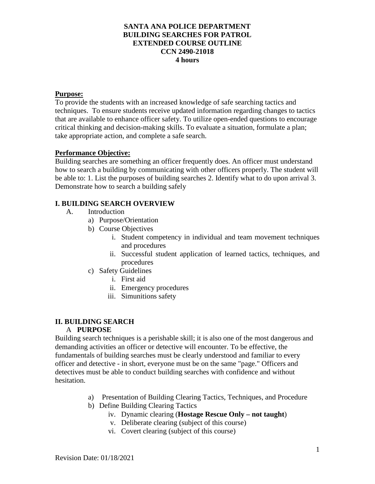# **SANTA ANA POLICE DEPARTMENT BUILDING SEARCHES FOR PATROL EXTENDED COURSE OUTLINE CCN 2490-21018 4 hours**

#### **Purpose:**

To provide the students with an increased knowledge of safe searching tactics and techniques. To ensure students receive updated information regarding changes to tactics that are available to enhance officer safety. To utilize open-ended questions to encourage critical thinking and decision-making skills. To evaluate a situation, formulate a plan; take appropriate action, and complete a safe search.

### **Performance Objective:**

Building searches are something an officer frequently does. An officer must understand how to search a building by communicating with other officers properly. The student will be able to: 1. List the purposes of building searches 2. Identify what to do upon arrival 3. Demonstrate how to search a building safely

# **I. BUILDING SEARCH OVERVIEW**

- A. Introduction
	- a) Purpose/Orientation
	- b) Course Objectives
		- i. Student competency in individual and team movement techniques and procedures
		- ii. Successful student application of learned tactics, techniques, and procedures
	- c) Safety Guidelines
		- i. First aid
		- ii. Emergency procedures
		- iii. Simunitions safety

### **II. BUILDING SEARCH**

### A **PURPOSE**

Building search techniques is a perishable skill; it is also one of the most dangerous and demanding activities an officer or detective will encounter. To be effective, the fundamentals of building searches must be clearly understood and familiar to every officer and detective - in short, everyone must be on the same "page." Officers and detectives must be able to conduct building searches with confidence and without hesitation.

- a) Presentation of Building Clearing Tactics, Techniques, and Procedure
- b) Define Building Clearing Tactics
	- iv. Dynamic clearing (**Hostage Rescue Only – not taught**)
	- v. Deliberate clearing (subject of this course)
	- vi. Covert clearing (subject of this course)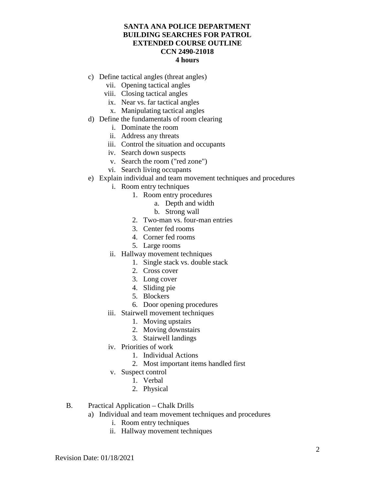## **SANTA ANA POLICE DEPARTMENT BUILDING SEARCHES FOR PATROL EXTENDED COURSE OUTLINE CCN 2490-21018 4 hours**

- c) Define tactical angles (threat angles)
	- vii. Opening tactical angles
	- viii. Closing tactical angles
	- ix. Near vs. far tactical angles
	- x. Manipulating tactical angles
- d) Define the fundamentals of room clearing
	- i. Dominate the room
	- ii. Address any threats
	- iii. Control the situation and occupants
	- iv. Search down suspects
	- v. Search the room ("red zone")
	- vi. Search living occupants
- e) Explain individual and team movement techniques and procedures
	- i. Room entry techniques
		- 1. Room entry procedures
			- a. Depth and width
			- b. Strong wall
		- 2. Two-man vs. four-man entries
		- 3. Center fed rooms
		- 4. Corner fed rooms
		- 5. Large rooms
	- ii. Hallway movement techniques
		- 1. Single stack vs. double stack
		- 2. Cross cover
		- 3. Long cover
		- 4. Sliding pie
		- 5. Blockers
		- 6. Door opening procedures
	- iii. Stairwell movement techniques
		- 1. Moving upstairs
		- 2. Moving downstairs
		- 3. Stairwell landings
	- iv. Priorities of work
		- 1. Individual Actions
		- 2. Most important items handled first
	- v. Suspect control
		- 1. Verbal
		- 2. Physical
- B. Practical Application Chalk Drills
	- a) Individual and team movement techniques and procedures
		- i. Room entry techniques
		- ii. Hallway movement techniques